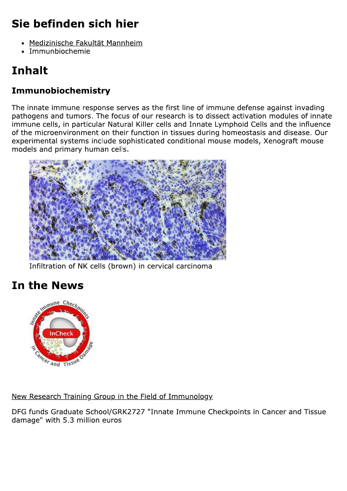## Sie befinden sich hier

- Medizinische Fakultät Mannheim
- · Immunbiochemie

# **Inhalt**

#### Immunobiochemistry

The innate immune response serves as the first line of immune defense against invading pathogens and tumors. The focus of our research is to dissect activation modules of innate immune cells, in particular Natural Killer cells and Innate Lymphoid Cells and the influence of the microenvironment on their function in tissues during homeostasis and disease. Our experimental systems include sophisticated conditional mouse models, Xenograft mouse models and primary human cells.



Infiltration of NK cells (brown) in cervical carcinoma

### **In the News**



New Research Training Group in the Field of Immunology

DFG funds Graduate School/GRK2727 "Innate Immune Checkpoints in Cancer and Tissue damage" with 5.3 million euros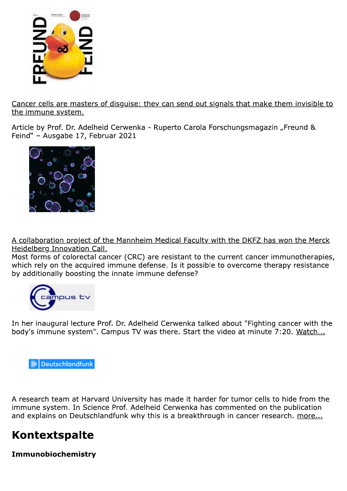

Cancer cells are masters of disquise: they can send out signals that make them invisible to the immune system.

Article by Prof. Dr. Adelheid Cerwenka - Ruperto Carola Forschungsmagazin "Freund & Feind" - Ausgabe 17, Februar 2021



A collaboration project of the Mannheim Medical Faculty with the DKFZ has won the Merck Heidelberg Innovation Call.

Most forms of colorectal cancer (CRC) are resistant to the current cancer immunotherapies, which rely on the acquired immune defense. Is it possible to overcome therapy resistance by additionally boosting the innate immune defense?



In her inaugural lecture Prof. Dr. Adelheid Cerwenka talked about "Fighting cancer with the body's immune system". Campus TV was there. Start the video at minute 7:20. Watch...



A research team at Harvard University has made it harder for tumor cells to hide from the immune system. In Science Prof. Adelheid Cerwenka has commented on the publication and explains on Deutschlandfunk why this is a breakthrough in cancer research. more...

#### **Kontextspalte**

Immunobiochemistry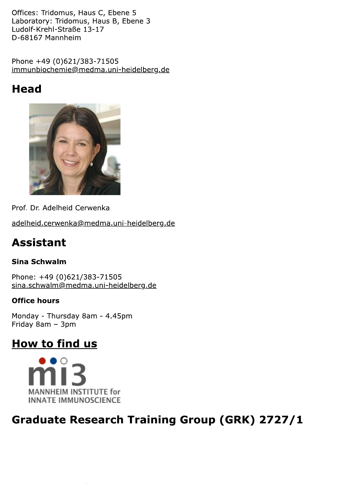Offices: Tridomus, Haus C, Ebene 5 Laboratory: Tridomus, Haus B, Ebene 3 Ludolf-Krehl-Straße 13-17 D-68167 Mannheim

Phone +49 (0)621/383-71505 immunbiochemie@medma.uni-heidelberg.de

### **Head**



Prof. Dr. Adelheid Cerwenka

adelheid.cerwenka@medma.uni-heidelberg.de

### **Assistant**

#### **Sina Schwalm**

Phone: +49 (0)621/383-71505 sina.schwalm@medma.uni-heidelberg.de

#### **Office hours**

Monday - Thursday 8am - 4.45pm Friday 8am - 3pm

#### How to find us



### **Graduate Research Training Group (GRK) 2727/1**